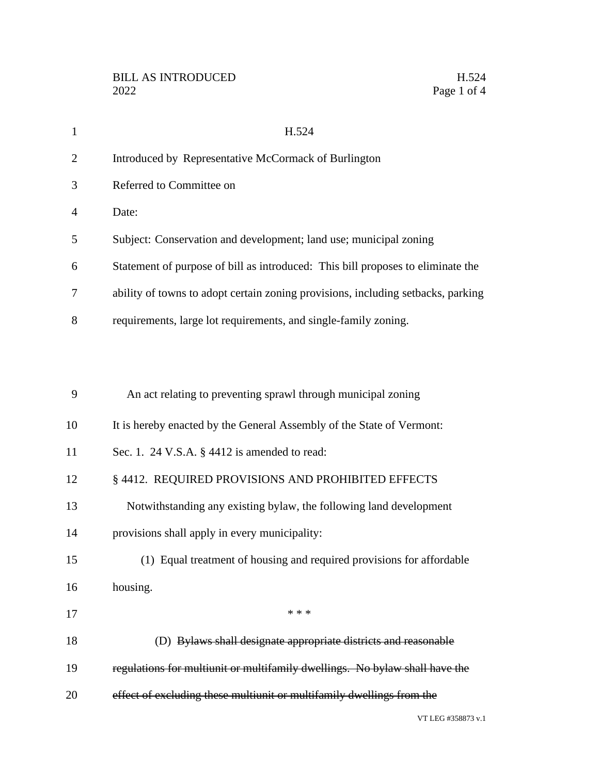| $\mathbf{1}$   | H.524                                                                            |
|----------------|----------------------------------------------------------------------------------|
| $\overline{2}$ | Introduced by Representative McCormack of Burlington                             |
| 3              | Referred to Committee on                                                         |
| 4              | Date:                                                                            |
| 5              | Subject: Conservation and development; land use; municipal zoning                |
| 6              | Statement of purpose of bill as introduced: This bill proposes to eliminate the  |
| 7              | ability of towns to adopt certain zoning provisions, including setbacks, parking |
| 8              | requirements, large lot requirements, and single-family zoning.                  |
|                |                                                                                  |
|                |                                                                                  |
| 9              | An act relating to preventing sprawl through municipal zoning                    |
| 10             | It is hereby enacted by the General Assembly of the State of Vermont:            |
| 11             | Sec. 1. 24 V.S.A. § 4412 is amended to read:                                     |
| 12             | § 4412. REQUIRED PROVISIONS AND PROHIBITED EFFECTS                               |
| 13             | Notwithstanding any existing bylaw, the following land development               |
| 14             | provisions shall apply in every municipality:                                    |
| 15             | (1) Equal treatment of housing and required provisions for affordable            |
| 16             | housing.                                                                         |
| 17             | * * *                                                                            |
| 18             | (D) Bylaws shall designate appropriate districts and reasonable                  |
| 19             | regulations for multiunit or multifamily dwellings. No bylaw shall have the      |
| 20             | effect of excluding these multiunit or multifamily dwellings from the            |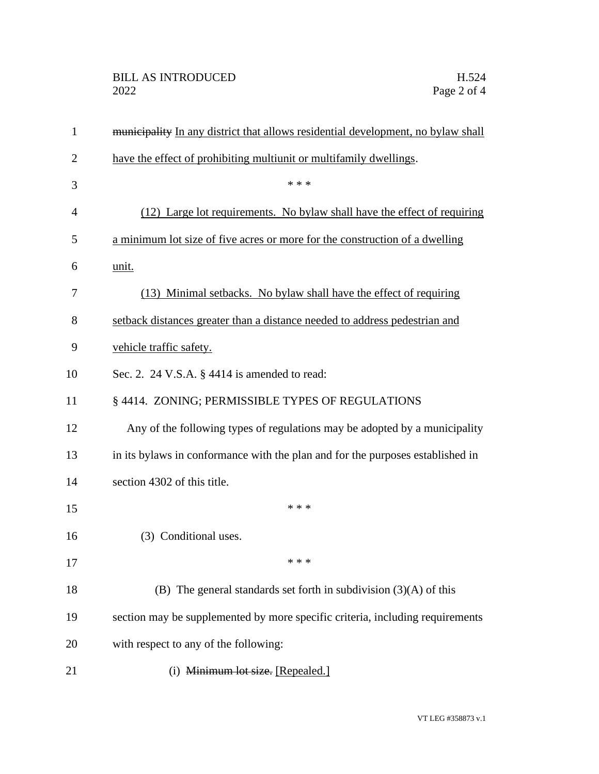| $\mathbf{1}$   | municipality In any district that allows residential development, no bylaw shall |
|----------------|----------------------------------------------------------------------------------|
| $\overline{2}$ | have the effect of prohibiting multiunit or multifamily dwellings.               |
| 3              | * * *                                                                            |
| 4              | (12) Large lot requirements. No bylaw shall have the effect of requiring         |
| 5              | a minimum lot size of five acres or more for the construction of a dwelling      |
| 6              | unit.                                                                            |
| 7              | (13) Minimal setbacks. No bylaw shall have the effect of requiring               |
| 8              | setback distances greater than a distance needed to address pedestrian and       |
| 9              | vehicle traffic safety.                                                          |
| 10             | Sec. 2. 24 V.S.A. $\S$ 4414 is amended to read:                                  |
| 11             | § 4414. ZONING; PERMISSIBLE TYPES OF REGULATIONS                                 |
| 12             | Any of the following types of regulations may be adopted by a municipality       |
| 13             | in its by laws in conformance with the plan and for the purposes established in  |
| 14             | section 4302 of this title.                                                      |
| 15             | * * *                                                                            |
| 16             | (3) Conditional uses.                                                            |
| 17             | * * *                                                                            |
| 18             | (B) The general standards set forth in subdivision $(3)(A)$ of this              |
| 19             | section may be supplemented by more specific criteria, including requirements    |
| 20             | with respect to any of the following:                                            |
| 21             | (i) Minimum lot size. [Repealed.]                                                |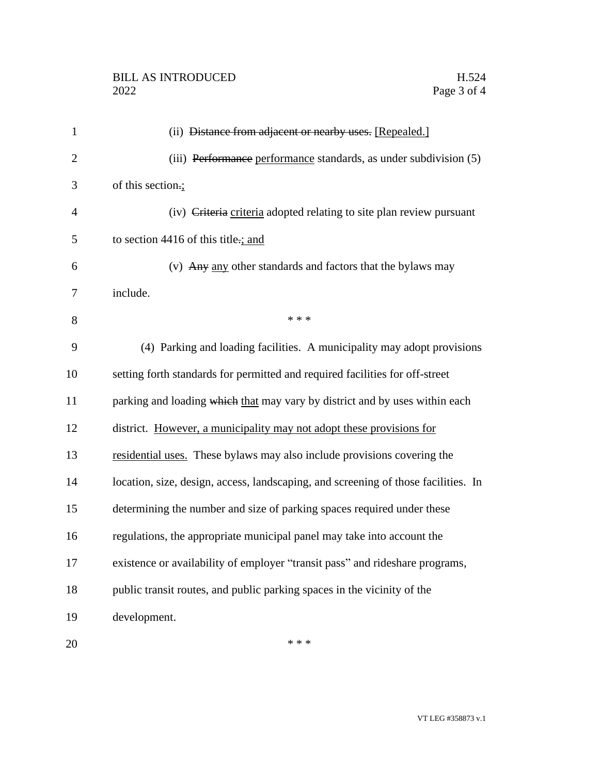$***$ 

| $\mathbf{1}$   | (ii) Distance from adjacent or nearby uses. [Repealed.]                            |
|----------------|------------------------------------------------------------------------------------|
| $\overline{2}$ | (iii) Performance performance standards, as under subdivision (5)                  |
| 3              | of this section.;                                                                  |
| 4              | (iv) Criteria criteria adopted relating to site plan review pursuant               |
| 5              | to section 4416 of this title :; and                                               |
| 6              | (v) Any any other standards and factors that the bylaws may                        |
| 7              | include.                                                                           |
| 8              | * * *                                                                              |
| 9              | (4) Parking and loading facilities. A municipality may adopt provisions            |
| 10             | setting forth standards for permitted and required facilities for off-street       |
| 11             | parking and loading which that may vary by district and by uses within each        |
| 12             | district. However, a municipality may not adopt these provisions for               |
| 13             | residential uses. These bylaws may also include provisions covering the            |
| 14             | location, size, design, access, landscaping, and screening of those facilities. In |
| 15             | determining the number and size of parking spaces required under these             |
| 16             | regulations, the appropriate municipal panel may take into account the             |
| 17             | existence or availability of employer "transit pass" and rideshare programs,       |
| 18             | public transit routes, and public parking spaces in the vicinity of the            |
| 19             | development.                                                                       |
|                |                                                                                    |